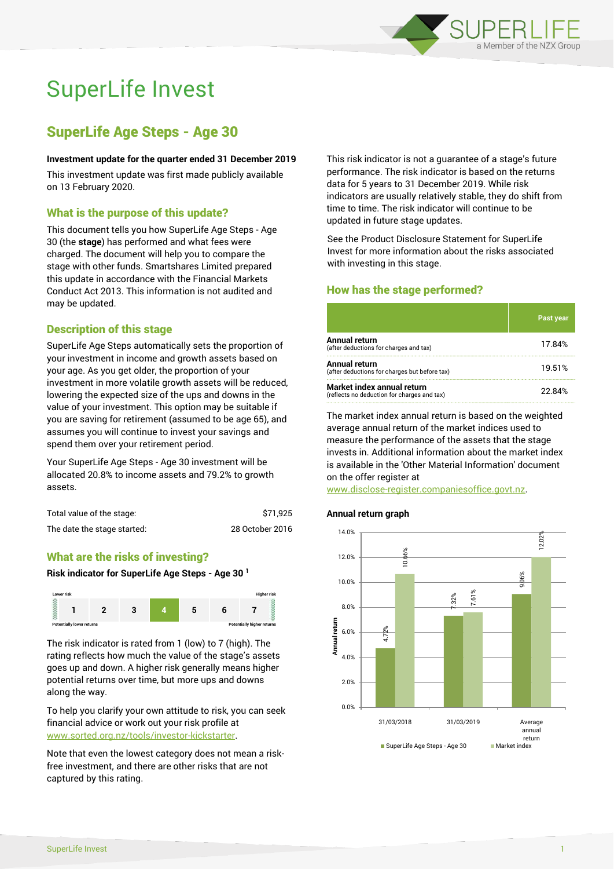

# SuperLife Invest

# SuperLife Age Steps - Age 30

#### **Investment update for the quarter ended 31 December 2019**

This investment update was first made publicly available on 13 February 2020.

# What is the purpose of this update?

This document tells you how SuperLife Age Steps - Age 30 (the **stage**) has performed and what fees were charged. The document will help you to compare the stage with other funds. Smartshares Limited prepared this update in accordance with the Financial Markets Conduct Act 2013. This information is not audited and may be updated.

# Description of this stage

SuperLife Age Steps automatically sets the proportion of your investment in income and growth assets based on your age. As you get older, the proportion of your investment in more volatile growth assets will be reduced, lowering the expected size of the ups and downs in the value of your investment. This option may be suitable if you are saving for retirement (assumed to be age 65), and assumes you will continue to invest your savings and spend them over your retirement period.

Your SuperLife Age Steps - Age 30 investment will be allocated 20.8% to income assets and 79.2% to growth assets.

| Total value of the stage:   | \$71.925        |
|-----------------------------|-----------------|
| The date the stage started: | 28 October 2016 |

# What are the risks of investing?

#### **Risk indicator for SuperLife Age Steps - Age 30 <sup>1</sup>**



The risk indicator is rated from 1 (low) to 7 (high). The rating reflects how much the value of the stage's assets goes up and down. A higher risk generally means higher potential returns over time, but more ups and downs along the way.

To help you clarify your own attitude to risk, you can seek financial advice or work out your risk profile at [www.sorted.org.nz/tools/investor-kickstarter.](http://www.sorted.org.nz/tools/investor-kickstarter)

Note that even the lowest category does not mean a riskfree investment, and there are other risks that are not captured by this rating.

This risk indicator is not a guarantee of a stage's future performance. The risk indicator is based on the returns data for 5 years to 31 December 2019. While risk indicators are usually relatively stable, they do shift from time to time. The risk indicator will continue to be updated in future stage updates.

See the Product Disclosure Statement for SuperLife Invest for more information about the risks associated with investing in this stage.

# How has the stage performed?

|                                                                           | <b>Past year</b> |
|---------------------------------------------------------------------------|------------------|
| Annual return<br>(after deductions for charges and tax)                   | 17.84%           |
| Annual return<br>(after deductions for charges but before tax)            | 19.51%           |
| Market index annual return<br>(reflects no deduction for charges and tax) | 22.84%           |

The market index annual return is based on the weighted average annual return of the market indices used to measure the performance of the assets that the stage invests in. Additional information about the market index is available in the 'Other Material Information' document on the offer register at

www.disclose-register.companiesoffice.govt.nz.

## **Annual return graph**

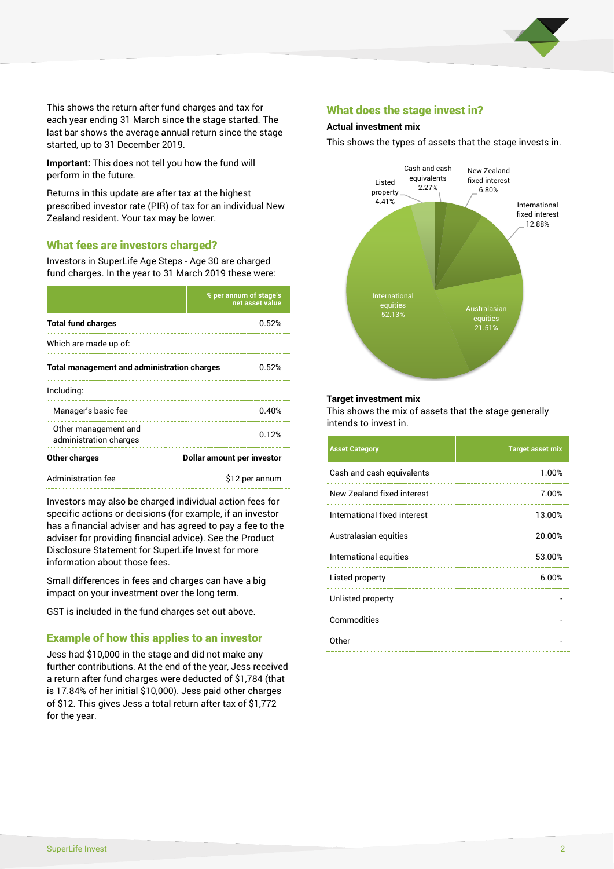

This shows the return after fund charges and tax for each year ending 31 March since the stage started. The last bar shows the average annual return since the stage started, up to 31 December 2019.

**Important:** This does not tell you how the fund will perform in the future.

Returns in this update are after tax at the highest prescribed investor rate (PIR) of tax for an individual New Zealand resident. Your tax may be lower.

# What fees are investors charged?

Investors in SuperLife Age Steps - Age 30 are charged fund charges. In the year to 31 March 2019 these were:

|                                                    | % per annum of stage's<br>net asset value |  |
|----------------------------------------------------|-------------------------------------------|--|
| <b>Total fund charges</b>                          | 0.52%                                     |  |
| Which are made up of:                              |                                           |  |
| <b>Total management and administration charges</b> | 0.52%                                     |  |
| Including:                                         |                                           |  |
| Manager's basic fee                                | 0.40%                                     |  |
| Other management and<br>administration charges     | 0.12%                                     |  |
| Other charges                                      | Dollar amount per investor                |  |
| Administration fee                                 | \$12 per annum                            |  |

Investors may also be charged individual action fees for specific actions or decisions (for example, if an investor has a financial adviser and has agreed to pay a fee to the adviser for providing financial advice). See the Product Disclosure Statement for SuperLife Invest for more information about those fees.

Small differences in fees and charges can have a big impact on your investment over the long term.

GST is included in the fund charges set out above.

# Example of how this applies to an investor

Jess had \$10,000 in the stage and did not make any further contributions. At the end of the year, Jess received a return after fund charges were deducted of \$1,784 (that is 17.84% of her initial \$10,000). Jess paid other charges of \$12. This gives Jess a total return after tax of \$1,772 for the year.

## What does the stage invest in?

#### **Actual investment mix**

This shows the types of assets that the stage invests in.



#### **Target investment mix**

This shows the mix of assets that the stage generally intends to invest in.

| <b>Asset Category</b>        | <b>Target asset mix</b> |
|------------------------------|-------------------------|
| Cash and cash equivalents    | 1.00%                   |
| New Zealand fixed interest   | 7.00%                   |
| International fixed interest | 13.00%                  |
| Australasian equities        | 20.00%                  |
| International equities       | 53.00%                  |
| Listed property              | 6.00%                   |
| Unlisted property            |                         |
| Commodities                  |                         |
| Other                        |                         |